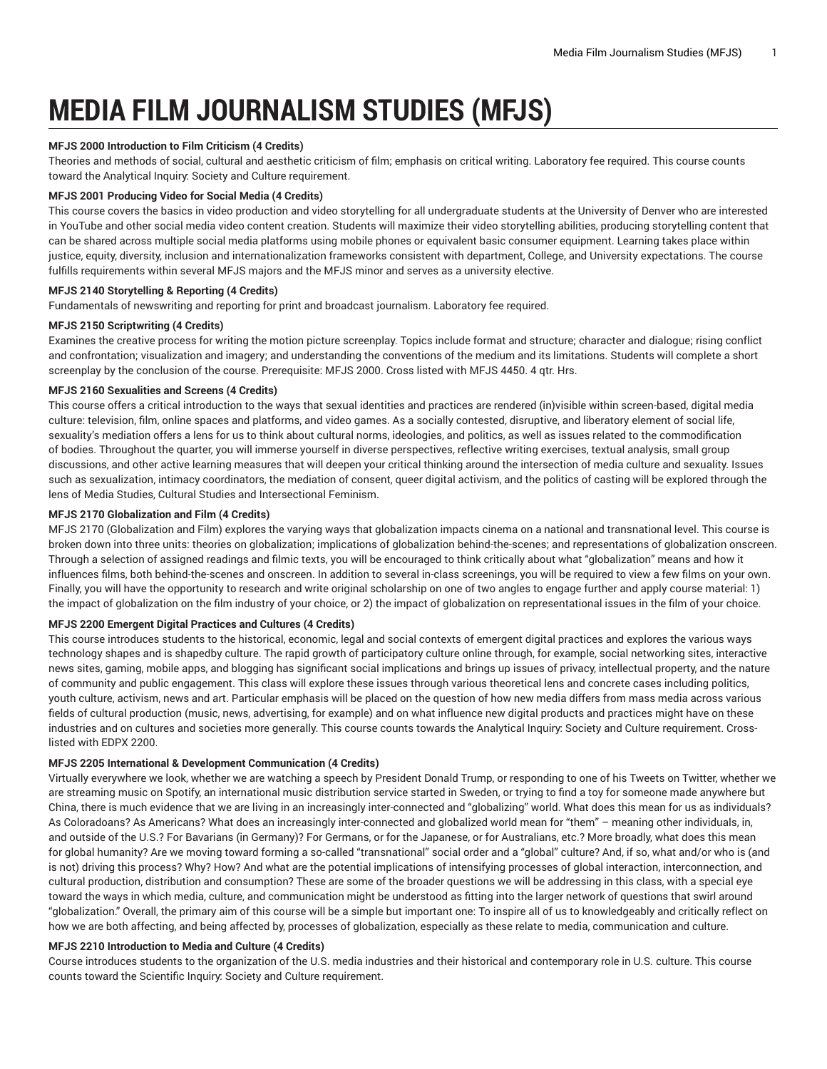# **MEDIA FILM JOURNALISM STUDIES (MFJS)**

# **MFJS 2000 Introduction to Film Criticism (4 Credits)**

Theories and methods of social, cultural and aesthetic criticism of film; emphasis on critical writing. Laboratory fee required. This course counts toward the Analytical Inquiry: Society and Culture requirement.

# **MFJS 2001 Producing Video for Social Media (4 Credits)**

This course covers the basics in video production and video storytelling for all undergraduate students at the University of Denver who are interested in YouTube and other social media video content creation. Students will maximize their video storytelling abilities, producing storytelling content that can be shared across multiple social media platforms using mobile phones or equivalent basic consumer equipment. Learning takes place within justice, equity, diversity, inclusion and internationalization frameworks consistent with department, College, and University expectations. The course fulfills requirements within several MFJS majors and the MFJS minor and serves as a university elective.

# **MFJS 2140 Storytelling & Reporting (4 Credits)**

Fundamentals of newswriting and reporting for print and broadcast journalism. Laboratory fee required.

# **MFJS 2150 Scriptwriting (4 Credits)**

Examines the creative process for writing the motion picture screenplay. Topics include format and structure; character and dialogue; rising conflict and confrontation; visualization and imagery; and understanding the conventions of the medium and its limitations. Students will complete a short screenplay by the conclusion of the course. Prerequisite: MFJS 2000. Cross listed with MFJS 4450. 4 qtr. Hrs.

# **MFJS 2160 Sexualities and Screens (4 Credits)**

This course offers a critical introduction to the ways that sexual identities and practices are rendered (in)visible within screen-based, digital media culture: television, film, online spaces and platforms, and video games. As a socially contested, disruptive, and liberatory element of social life, sexuality's mediation offers a lens for us to think about cultural norms, ideologies, and politics, as well as issues related to the commodification of bodies. Throughout the quarter, you will immerse yourself in diverse perspectives, reflective writing exercises, textual analysis, small group discussions, and other active learning measures that will deepen your critical thinking around the intersection of media culture and sexuality. Issues such as sexualization, intimacy coordinators, the mediation of consent, queer digital activism, and the politics of casting will be explored through the lens of Media Studies, Cultural Studies and Intersectional Feminism.

# **MFJS 2170 Globalization and Film (4 Credits)**

MFJS 2170 (Globalization and Film) explores the varying ways that globalization impacts cinema on a national and transnational level. This course is broken down into three units: theories on globalization; implications of globalization behind-the-scenes; and representations of globalization onscreen. Through a selection of assigned readings and filmic texts, you will be encouraged to think critically about what "globalization" means and how it influences films, both behind-the-scenes and onscreen. In addition to several in-class screenings, you will be required to view a few films on your own. Finally, you will have the opportunity to research and write original scholarship on one of two angles to engage further and apply course material: 1) the impact of globalization on the film industry of your choice, or 2) the impact of globalization on representational issues in the film of your choice.

# **MFJS 2200 Emergent Digital Practices and Cultures (4 Credits)**

This course introduces students to the historical, economic, legal and social contexts of emergent digital practices and explores the various ways technology shapes and is shapedby culture. The rapid growth of participatory culture online through, for example, social networking sites, interactive news sites, gaming, mobile apps, and blogging has significant social implications and brings up issues of privacy, intellectual property, and the nature of community and public engagement. This class will explore these issues through various theoretical lens and concrete cases including politics, youth culture, activism, news and art. Particular emphasis will be placed on the question of how new media differs from mass media across various fields of cultural production (music, news, advertising, for example) and on what influence new digital products and practices might have on these industries and on cultures and societies more generally. This course counts towards the Analytical Inquiry: Society and Culture requirement. Crosslisted with EDPX 2200.

# **MFJS 2205 International & Development Communication (4 Credits)**

Virtually everywhere we look, whether we are watching a speech by President Donald Trump, or responding to one of his Tweets on Twitter, whether we are streaming music on Spotify, an international music distribution service started in Sweden, or trying to find a toy for someone made anywhere but China, there is much evidence that we are living in an increasingly inter-connected and "globalizing" world. What does this mean for us as individuals? As Coloradoans? As Americans? What does an increasingly inter-connected and globalized world mean for "them" – meaning other individuals, in, and outside of the U.S.? For Bavarians (in Germany)? For Germans, or for the Japanese, or for Australians, etc.? More broadly, what does this mean for global humanity? Are we moving toward forming a so-called "transnational" social order and a "global" culture? And, if so, what and/or who is (and is not) driving this process? Why? How? And what are the potential implications of intensifying processes of global interaction, interconnection, and cultural production, distribution and consumption? These are some of the broader questions we will be addressing in this class, with a special eye toward the ways in which media, culture, and communication might be understood as fitting into the larger network of questions that swirl around "globalization." Overall, the primary aim of this course will be a simple but important one: To inspire all of us to knowledgeably and critically reflect on how we are both affecting, and being affected by, processes of globalization, especially as these relate to media, communication and culture.

# **MFJS 2210 Introduction to Media and Culture (4 Credits)**

Course introduces students to the organization of the U.S. media industries and their historical and contemporary role in U.S. culture. This course counts toward the Scientific Inquiry: Society and Culture requirement.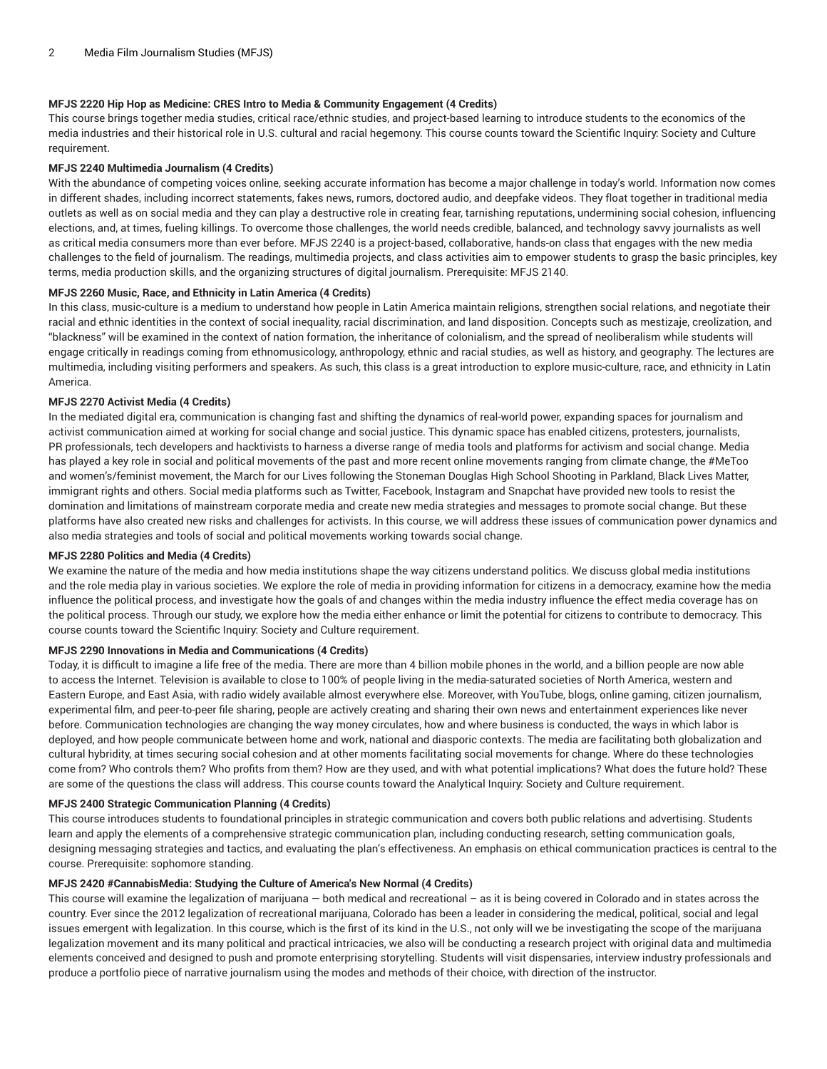# **MFJS 2220 Hip Hop as Medicine: CRES Intro to Media & Community Engagement (4 Credits)**

This course brings together media studies, critical race/ethnic studies, and project-based learning to introduce students to the economics of the media industries and their historical role in U.S. cultural and racial hegemony. This course counts toward the Scientific Inquiry: Society and Culture requirement.

## **MFJS 2240 Multimedia Journalism (4 Credits)**

With the abundance of competing voices online, seeking accurate information has become a major challenge in today's world. Information now comes in different shades, including incorrect statements, fakes news, rumors, doctored audio, and deepfake videos. They float together in traditional media outlets as well as on social media and they can play a destructive role in creating fear, tarnishing reputations, undermining social cohesion, influencing elections, and, at times, fueling killings. To overcome those challenges, the world needs credible, balanced, and technology savvy journalists as well as critical media consumers more than ever before. MFJS 2240 is a project-based, collaborative, hands-on class that engages with the new media challenges to the field of journalism. The readings, multimedia projects, and class activities aim to empower students to grasp the basic principles, key terms, media production skills, and the organizing structures of digital journalism. Prerequisite: MFJS 2140.

## **MFJS 2260 Music, Race, and Ethnicity in Latin America (4 Credits)**

In this class, music-culture is a medium to understand how people in Latin America maintain religions, strengthen social relations, and negotiate their racial and ethnic identities in the context of social inequality, racial discrimination, and land disposition. Concepts such as mestizaje, creolization, and "blackness" will be examined in the context of nation formation, the inheritance of colonialism, and the spread of neoliberalism while students will engage critically in readings coming from ethnomusicology, anthropology, ethnic and racial studies, as well as history, and geography. The lectures are multimedia, including visiting performers and speakers. As such, this class is a great introduction to explore music-culture, race, and ethnicity in Latin America.

# **MFJS 2270 Activist Media (4 Credits)**

In the mediated digital era, communication is changing fast and shifting the dynamics of real-world power, expanding spaces for journalism and activist communication aimed at working for social change and social justice. This dynamic space has enabled citizens, protesters, journalists, PR professionals, tech developers and hacktivists to harness a diverse range of media tools and platforms for activism and social change. Media has played a key role in social and political movements of the past and more recent online movements ranging from climate change, the #MeToo and women's/feminist movement, the March for our Lives following the Stoneman Douglas High School Shooting in Parkland, Black Lives Matter, immigrant rights and others. Social media platforms such as Twitter, Facebook, Instagram and Snapchat have provided new tools to resist the domination and limitations of mainstream corporate media and create new media strategies and messages to promote social change. But these platforms have also created new risks and challenges for activists. In this course, we will address these issues of communication power dynamics and also media strategies and tools of social and political movements working towards social change.

## **MFJS 2280 Politics and Media (4 Credits)**

We examine the nature of the media and how media institutions shape the way citizens understand politics. We discuss global media institutions and the role media play in various societies. We explore the role of media in providing information for citizens in a democracy, examine how the media influence the political process, and investigate how the goals of and changes within the media industry influence the effect media coverage has on the political process. Through our study, we explore how the media either enhance or limit the potential for citizens to contribute to democracy. This course counts toward the Scientific Inquiry: Society and Culture requirement.

#### **MFJS 2290 Innovations in Media and Communications (4 Credits)**

Today, it is difficult to imagine a life free of the media. There are more than 4 billion mobile phones in the world, and a billion people are now able to access the Internet. Television is available to close to 100% of people living in the media-saturated societies of North America, western and Eastern Europe, and East Asia, with radio widely available almost everywhere else. Moreover, with YouTube, blogs, online gaming, citizen journalism, experimental film, and peer-to-peer file sharing, people are actively creating and sharing their own news and entertainment experiences like never before. Communication technologies are changing the way money circulates, how and where business is conducted, the ways in which labor is deployed, and how people communicate between home and work, national and diasporic contexts. The media are facilitating both globalization and cultural hybridity, at times securing social cohesion and at other moments facilitating social movements for change. Where do these technologies come from? Who controls them? Who profits from them? How are they used, and with what potential implications? What does the future hold? These are some of the questions the class will address. This course counts toward the Analytical Inquiry: Society and Culture requirement.

#### **MFJS 2400 Strategic Communication Planning (4 Credits)**

This course introduces students to foundational principles in strategic communication and covers both public relations and advertising. Students learn and apply the elements of a comprehensive strategic communication plan, including conducting research, setting communication goals, designing messaging strategies and tactics, and evaluating the plan's effectiveness. An emphasis on ethical communication practices is central to the course. Prerequisite: sophomore standing.

# **MFJS 2420 #CannabisMedia: Studying the Culture of America's New Normal (4 Credits)**

This course will examine the legalization of marijuana — both medical and recreational – as it is being covered in Colorado and in states across the country. Ever since the 2012 legalization of recreational marijuana, Colorado has been a leader in considering the medical, political, social and legal issues emergent with legalization. In this course, which is the first of its kind in the U.S., not only will we be investigating the scope of the marijuana legalization movement and its many political and practical intricacies, we also will be conducting a research project with original data and multimedia elements conceived and designed to push and promote enterprising storytelling. Students will visit dispensaries, interview industry professionals and produce a portfolio piece of narrative journalism using the modes and methods of their choice, with direction of the instructor.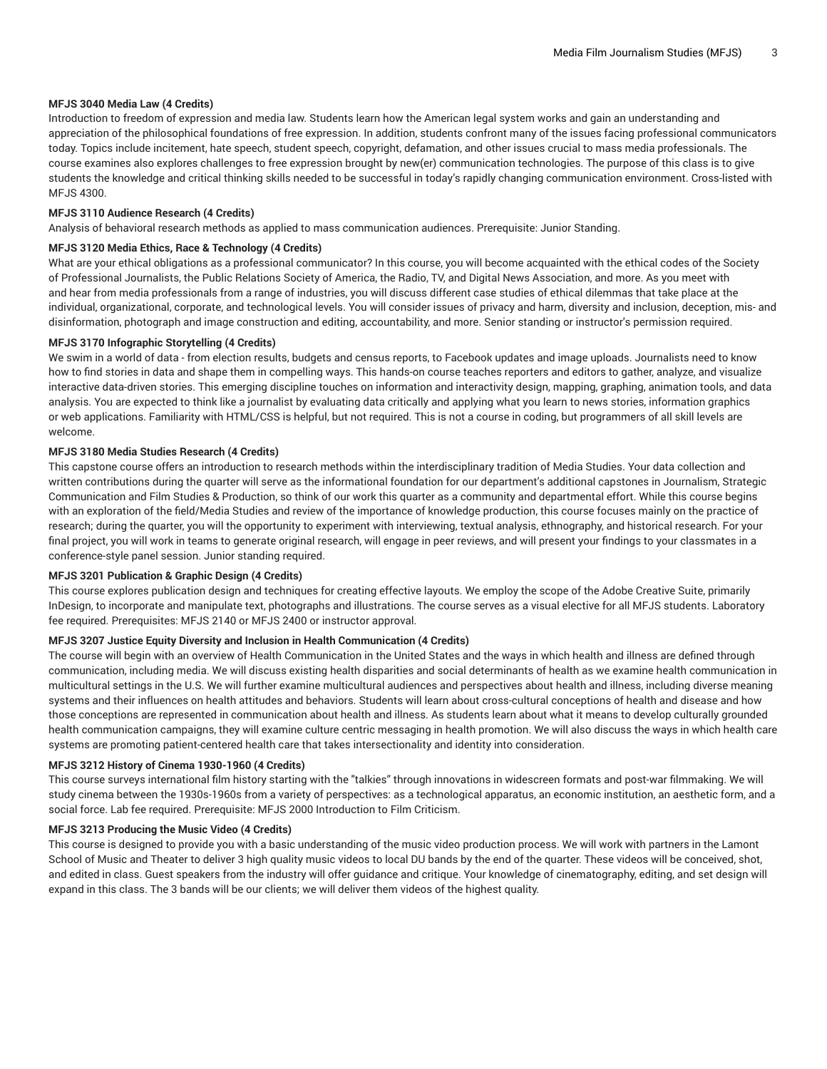# **MFJS 3040 Media Law (4 Credits)**

Introduction to freedom of expression and media law. Students learn how the American legal system works and gain an understanding and appreciation of the philosophical foundations of free expression. In addition, students confront many of the issues facing professional communicators today. Topics include incitement, hate speech, student speech, copyright, defamation, and other issues crucial to mass media professionals. The course examines also explores challenges to free expression brought by new(er) communication technologies. The purpose of this class is to give students the knowledge and critical thinking skills needed to be successful in today's rapidly changing communication environment. Cross-listed with MFJS 4300.

#### **MFJS 3110 Audience Research (4 Credits)**

Analysis of behavioral research methods as applied to mass communication audiences. Prerequisite: Junior Standing.

## **MFJS 3120 Media Ethics, Race & Technology (4 Credits)**

What are your ethical obligations as a professional communicator? In this course, you will become acquainted with the ethical codes of the Society of Professional Journalists, the Public Relations Society of America, the Radio, TV, and Digital News Association, and more. As you meet with and hear from media professionals from a range of industries, you will discuss different case studies of ethical dilemmas that take place at the individual, organizational, corporate, and technological levels. You will consider issues of privacy and harm, diversity and inclusion, deception, mis- and disinformation, photograph and image construction and editing, accountability, and more. Senior standing or instructor's permission required.

## **MFJS 3170 Infographic Storytelling (4 Credits)**

We swim in a world of data - from election results, budgets and census reports, to Facebook updates and image uploads. Journalists need to know how to find stories in data and shape them in compelling ways. This hands-on course teaches reporters and editors to gather, analyze, and visualize interactive data-driven stories. This emerging discipline touches on information and interactivity design, mapping, graphing, animation tools, and data analysis. You are expected to think like a journalist by evaluating data critically and applying what you learn to news stories, information graphics or web applications. Familiarity with HTML/CSS is helpful, but not required. This is not a course in coding, but programmers of all skill levels are welcome.

## **MFJS 3180 Media Studies Research (4 Credits)**

This capstone course offers an introduction to research methods within the interdisciplinary tradition of Media Studies. Your data collection and written contributions during the quarter will serve as the informational foundation for our department's additional capstones in Journalism, Strategic Communication and Film Studies & Production, so think of our work this quarter as a community and departmental effort. While this course begins with an exploration of the field/Media Studies and review of the importance of knowledge production, this course focuses mainly on the practice of research; during the quarter, you will the opportunity to experiment with interviewing, textual analysis, ethnography, and historical research. For your final project, you will work in teams to generate original research, will engage in peer reviews, and will present your findings to your classmates in a conference-style panel session. Junior standing required.

## **MFJS 3201 Publication & Graphic Design (4 Credits)**

This course explores publication design and techniques for creating effective layouts. We employ the scope of the Adobe Creative Suite, primarily InDesign, to incorporate and manipulate text, photographs and illustrations. The course serves as a visual elective for all MFJS students. Laboratory fee required. Prerequisites: MFJS 2140 or MFJS 2400 or instructor approval.

#### **MFJS 3207 Justice Equity Diversity and Inclusion in Health Communication (4 Credits)**

The course will begin with an overview of Health Communication in the United States and the ways in which health and illness are defined through communication, including media. We will discuss existing health disparities and social determinants of health as we examine health communication in multicultural settings in the U.S. We will further examine multicultural audiences and perspectives about health and illness, including diverse meaning systems and their influences on health attitudes and behaviors. Students will learn about cross-cultural conceptions of health and disease and how those conceptions are represented in communication about health and illness. As students learn about what it means to develop culturally grounded health communication campaigns, they will examine culture centric messaging in health promotion. We will also discuss the ways in which health care systems are promoting patient-centered health care that takes intersectionality and identity into consideration.

#### **MFJS 3212 History of Cinema 1930-1960 (4 Credits)**

This course surveys international film history starting with the "talkies" through innovations in widescreen formats and post-war filmmaking. We will study cinema between the 1930s-1960s from a variety of perspectives: as a technological apparatus, an economic institution, an aesthetic form, and a social force. Lab fee required. Prerequisite: MFJS 2000 Introduction to Film Criticism.

# **MFJS 3213 Producing the Music Video (4 Credits)**

This course is designed to provide you with a basic understanding of the music video production process. We will work with partners in the Lamont School of Music and Theater to deliver 3 high quality music videos to local DU bands by the end of the quarter. These videos will be conceived, shot, and edited in class. Guest speakers from the industry will offer guidance and critique. Your knowledge of cinematography, editing, and set design will expand in this class. The 3 bands will be our clients; we will deliver them videos of the highest quality.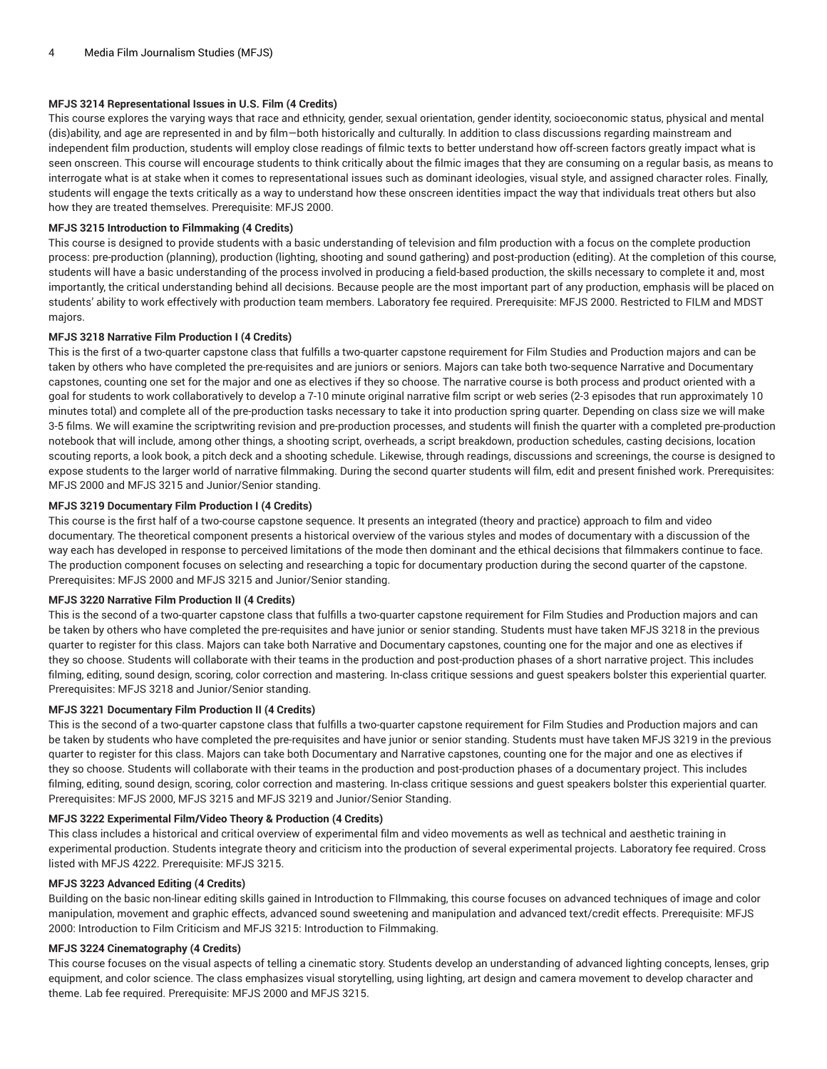# **MFJS 3214 Representational Issues in U.S. Film (4 Credits)**

This course explores the varying ways that race and ethnicity, gender, sexual orientation, gender identity, socioeconomic status, physical and mental (dis)ability, and age are represented in and by film—both historically and culturally. In addition to class discussions regarding mainstream and independent film production, students will employ close readings of filmic texts to better understand how off-screen factors greatly impact what is seen onscreen. This course will encourage students to think critically about the filmic images that they are consuming on a regular basis, as means to interrogate what is at stake when it comes to representational issues such as dominant ideologies, visual style, and assigned character roles. Finally, students will engage the texts critically as a way to understand how these onscreen identities impact the way that individuals treat others but also how they are treated themselves. Prerequisite: MFJS 2000.

## **MFJS 3215 Introduction to Filmmaking (4 Credits)**

This course is designed to provide students with a basic understanding of television and film production with a focus on the complete production process: pre-production (planning), production (lighting, shooting and sound gathering) and post-production (editing). At the completion of this course, students will have a basic understanding of the process involved in producing a field-based production, the skills necessary to complete it and, most importantly, the critical understanding behind all decisions. Because people are the most important part of any production, emphasis will be placed on students' ability to work effectively with production team members. Laboratory fee required. Prerequisite: MFJS 2000. Restricted to FILM and MDST majors.

## **MFJS 3218 Narrative Film Production I (4 Credits)**

This is the first of a two-quarter capstone class that fulfills a two-quarter capstone requirement for Film Studies and Production majors and can be taken by others who have completed the pre-requisites and are juniors or seniors. Majors can take both two-sequence Narrative and Documentary capstones, counting one set for the major and one as electives if they so choose. The narrative course is both process and product oriented with a goal for students to work collaboratively to develop a 7-10 minute original narrative film script or web series (2-3 episodes that run approximately 10 minutes total) and complete all of the pre-production tasks necessary to take it into production spring quarter. Depending on class size we will make 3-5 films. We will examine the scriptwriting revision and pre-production processes, and students will finish the quarter with a completed pre-production notebook that will include, among other things, a shooting script, overheads, a script breakdown, production schedules, casting decisions, location scouting reports, a look book, a pitch deck and a shooting schedule. Likewise, through readings, discussions and screenings, the course is designed to expose students to the larger world of narrative filmmaking. During the second quarter students will film, edit and present finished work. Prerequisites: MFJS 2000 and MFJS 3215 and Junior/Senior standing.

# **MFJS 3219 Documentary Film Production I (4 Credits)**

This course is the first half of a two-course capstone sequence. It presents an integrated (theory and practice) approach to film and video documentary. The theoretical component presents a historical overview of the various styles and modes of documentary with a discussion of the way each has developed in response to perceived limitations of the mode then dominant and the ethical decisions that filmmakers continue to face. The production component focuses on selecting and researching a topic for documentary production during the second quarter of the capstone. Prerequisites: MFJS 2000 and MFJS 3215 and Junior/Senior standing.

#### **MFJS 3220 Narrative Film Production II (4 Credits)**

This is the second of a two-quarter capstone class that fulfills a two-quarter capstone requirement for Film Studies and Production majors and can be taken by others who have completed the pre-requisites and have junior or senior standing. Students must have taken MFJS 3218 in the previous quarter to register for this class. Majors can take both Narrative and Documentary capstones, counting one for the major and one as electives if they so choose. Students will collaborate with their teams in the production and post-production phases of a short narrative project. This includes filming, editing, sound design, scoring, color correction and mastering. In-class critique sessions and guest speakers bolster this experiential quarter. Prerequisites: MFJS 3218 and Junior/Senior standing.

## **MFJS 3221 Documentary Film Production II (4 Credits)**

This is the second of a two-quarter capstone class that fulfills a two-quarter capstone requirement for Film Studies and Production majors and can be taken by students who have completed the pre-requisites and have junior or senior standing. Students must have taken MFJS 3219 in the previous quarter to register for this class. Majors can take both Documentary and Narrative capstones, counting one for the major and one as electives if they so choose. Students will collaborate with their teams in the production and post-production phases of a documentary project. This includes filming, editing, sound design, scoring, color correction and mastering. In-class critique sessions and guest speakers bolster this experiential quarter. Prerequisites: MFJS 2000, MFJS 3215 and MFJS 3219 and Junior/Senior Standing.

#### **MFJS 3222 Experimental Film/Video Theory & Production (4 Credits)**

This class includes a historical and critical overview of experimental film and video movements as well as technical and aesthetic training in experimental production. Students integrate theory and criticism into the production of several experimental projects. Laboratory fee required. Cross listed with MFJS 4222. Prerequisite: MFJS 3215.

# **MFJS 3223 Advanced Editing (4 Credits)**

Building on the basic non-linear editing skills gained in Introduction to FIlmmaking, this course focuses on advanced techniques of image and color manipulation, movement and graphic effects, advanced sound sweetening and manipulation and advanced text/credit effects. Prerequisite: MFJS 2000: Introduction to Film Criticism and MFJS 3215: Introduction to Filmmaking.

# **MFJS 3224 Cinematography (4 Credits)**

This course focuses on the visual aspects of telling a cinematic story. Students develop an understanding of advanced lighting concepts, lenses, grip equipment, and color science. The class emphasizes visual storytelling, using lighting, art design and camera movement to develop character and theme. Lab fee required. Prerequisite: MFJS 2000 and MFJS 3215.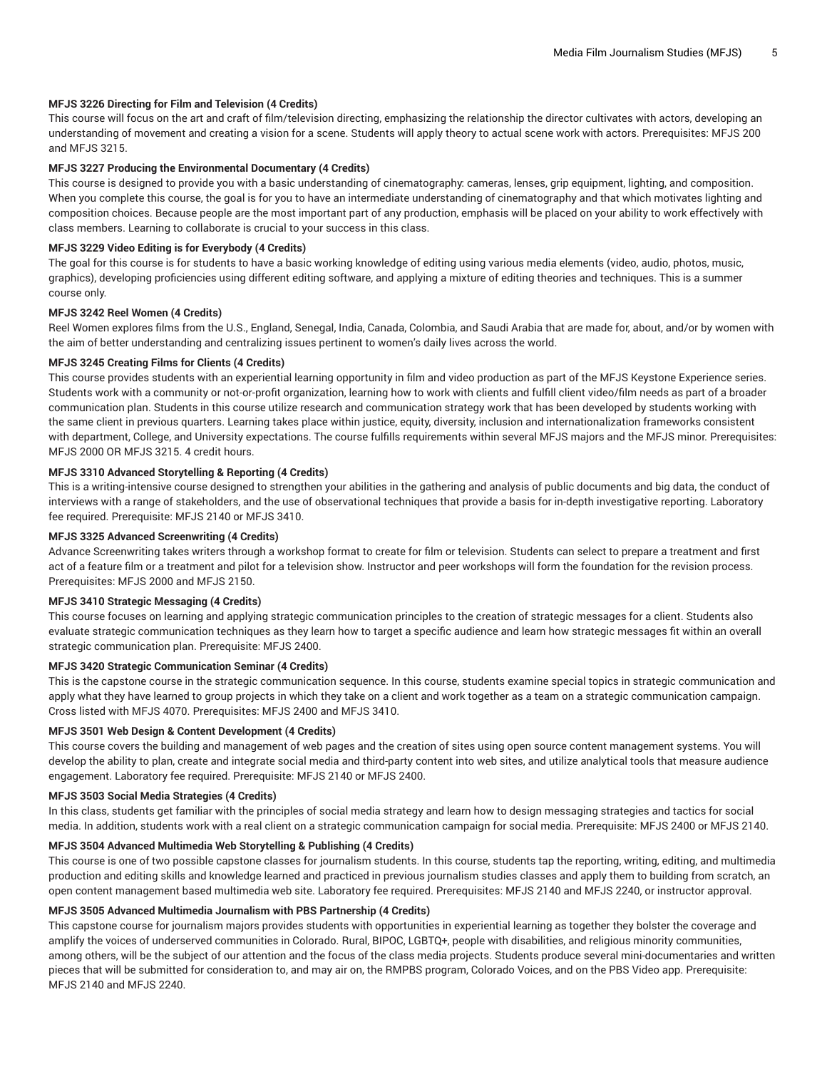## **MFJS 3226 Directing for Film and Television (4 Credits)**

This course will focus on the art and craft of film/television directing, emphasizing the relationship the director cultivates with actors, developing an understanding of movement and creating a vision for a scene. Students will apply theory to actual scene work with actors. Prerequisites: MFJS 200 and MFJS 3215

#### **MFJS 3227 Producing the Environmental Documentary (4 Credits)**

This course is designed to provide you with a basic understanding of cinematography: cameras, lenses, grip equipment, lighting, and composition. When you complete this course, the goal is for you to have an intermediate understanding of cinematography and that which motivates lighting and composition choices. Because people are the most important part of any production, emphasis will be placed on your ability to work effectively with class members. Learning to collaborate is crucial to your success in this class.

#### **MFJS 3229 Video Editing is for Everybody (4 Credits)**

The goal for this course is for students to have a basic working knowledge of editing using various media elements (video, audio, photos, music, graphics), developing proficiencies using different editing software, and applying a mixture of editing theories and techniques. This is a summer course only.

#### **MFJS 3242 Reel Women (4 Credits)**

Reel Women explores films from the U.S., England, Senegal, India, Canada, Colombia, and Saudi Arabia that are made for, about, and/or by women with the aim of better understanding and centralizing issues pertinent to women's daily lives across the world.

## **MFJS 3245 Creating Films for Clients (4 Credits)**

This course provides students with an experiential learning opportunity in film and video production as part of the MFJS Keystone Experience series. Students work with a community or not-or-profit organization, learning how to work with clients and fulfill client video/film needs as part of a broader communication plan. Students in this course utilize research and communication strategy work that has been developed by students working with the same client in previous quarters. Learning takes place within justice, equity, diversity, inclusion and internationalization frameworks consistent with department, College, and University expectations. The course fulfills requirements within several MFJS majors and the MFJS minor. Prerequisites: MFJS 2000 OR MFJS 3215. 4 credit hours.

# **MFJS 3310 Advanced Storytelling & Reporting (4 Credits)**

This is a writing-intensive course designed to strengthen your abilities in the gathering and analysis of public documents and big data, the conduct of interviews with a range of stakeholders, and the use of observational techniques that provide a basis for in-depth investigative reporting. Laboratory fee required. Prerequisite: MFJS 2140 or MFJS 3410.

## **MFJS 3325 Advanced Screenwriting (4 Credits)**

Advance Screenwriting takes writers through a workshop format to create for film or television. Students can select to prepare a treatment and first act of a feature film or a treatment and pilot for a television show. Instructor and peer workshops will form the foundation for the revision process. Prerequisites: MFJS 2000 and MFJS 2150.

#### **MFJS 3410 Strategic Messaging (4 Credits)**

This course focuses on learning and applying strategic communication principles to the creation of strategic messages for a client. Students also evaluate strategic communication techniques as they learn how to target a specific audience and learn how strategic messages fit within an overall strategic communication plan. Prerequisite: MFJS 2400.

# **MFJS 3420 Strategic Communication Seminar (4 Credits)**

This is the capstone course in the strategic communication sequence. In this course, students examine special topics in strategic communication and apply what they have learned to group projects in which they take on a client and work together as a team on a strategic communication campaign. Cross listed with MFJS 4070. Prerequisites: MFJS 2400 and MFJS 3410.

#### **MFJS 3501 Web Design & Content Development (4 Credits)**

This course covers the building and management of web pages and the creation of sites using open source content management systems. You will develop the ability to plan, create and integrate social media and third-party content into web sites, and utilize analytical tools that measure audience engagement. Laboratory fee required. Prerequisite: MFJS 2140 or MFJS 2400.

#### **MFJS 3503 Social Media Strategies (4 Credits)**

In this class, students get familiar with the principles of social media strategy and learn how to design messaging strategies and tactics for social media. In addition, students work with a real client on a strategic communication campaign for social media. Prerequisite: MFJS 2400 or MFJS 2140.

# **MFJS 3504 Advanced Multimedia Web Storytelling & Publishing (4 Credits)**

This course is one of two possible capstone classes for journalism students. In this course, students tap the reporting, writing, editing, and multimedia production and editing skills and knowledge learned and practiced in previous journalism studies classes and apply them to building from scratch, an open content management based multimedia web site. Laboratory fee required. Prerequisites: MFJS 2140 and MFJS 2240, or instructor approval.

#### **MFJS 3505 Advanced Multimedia Journalism with PBS Partnership (4 Credits)**

This capstone course for journalism majors provides students with opportunities in experiential learning as together they bolster the coverage and amplify the voices of underserved communities in Colorado. Rural, BIPOC, LGBTQ+, people with disabilities, and religious minority communities, among others, will be the subject of our attention and the focus of the class media projects. Students produce several mini-documentaries and written pieces that will be submitted for consideration to, and may air on, the RMPBS program, Colorado Voices, and on the PBS Video app. Prerequisite: ME IS 2140 and ME IS 2240.